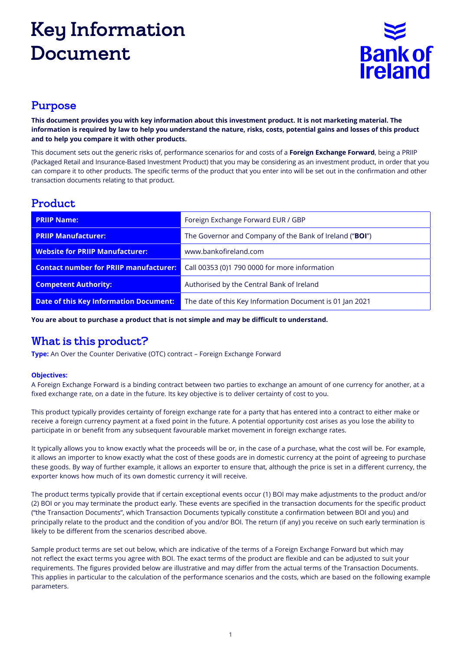# Key Information Document



#### Purpose

**This document provides you with key information about this investment product. It is not marketing material. The information is required by law to help you understand the nature, risks, costs, potential gains and losses of this product and to help you compare it with other products.**

This document sets out the generic risks of, performance scenarios for and costs of a **Foreign Exchange Forward**, being a PRIIP (Packaged Retail and Insurance-Based Investment Product) that you may be considering as an investment product, in order that you can compare it to other products. The specific terms of the product that you enter into will be set out in the confirmation and other transaction documents relating to that product.

#### Product

| <b>PRIIP Name:</b>                            | Foreign Exchange Forward EUR / GBP                       |  |
|-----------------------------------------------|----------------------------------------------------------|--|
| <b>PRIIP Manufacturer:</b>                    | The Governor and Company of the Bank of Ireland ("BOI")  |  |
| <b>Website for PRIIP Manufacturer:</b>        | www.bankofireland.com                                    |  |
| <b>Contact number for PRIIP manufacturer:</b> | Call 00353 (0)1 790 0000 for more information            |  |
| <b>Competent Authority:</b>                   | Authorised by the Central Bank of Ireland                |  |
| <b>Date of this Key Information Document:</b> | The date of this Key Information Document is 01 Jan 2021 |  |

**You are about to purchase a product that is not simple and may be difficult to understand.**

# What is this product?

**Type:** An Over the Counter Derivative (OTC) contract – Foreign Exchange Forward

#### **Objectives:**

A Foreign Exchange Forward is a binding contract between two parties to exchange an amount of one currency for another, at a fixed exchange rate, on a date in the future. Its key objective is to deliver certainty of cost to you.

This product typically provides certainty of foreign exchange rate for a party that has entered into a contract to either make or receive a foreign currency payment at a fixed point in the future. A potential opportunity cost arises as you lose the ability to participate in or benefit from any subsequent favourable market movement in foreign exchange rates.

It typically allows you to know exactly what the proceeds will be or, in the case of a purchase, what the cost will be. For example, it allows an importer to know exactly what the cost of these goods are in domestic currency at the point of agreeing to purchase these goods. By way of further example, it allows an exporter to ensure that, although the price is set in a different currency, the exporter knows how much of its own domestic currency it will receive.

The product terms typically provide that if certain exceptional events occur (1) BOI may make adjustments to the product and/or (2) BOI or you may terminate the product early. These events are specified in the transaction documents for the specific product ("the Transaction Documents", which Transaction Documents typically constitute a confirmation between BOI and you) and principally relate to the product and the condition of you and/or BOI. The return (if any) you receive on such early termination is likely to be different from the scenarios described above.

Sample product terms are set out below, which are indicative of the terms of a Foreign Exchange Forward but which may not reflect the exact terms you agree with BOI. The exact terms of the product are flexible and can be adjusted to suit your requirements. The figures provided below are illustrative and may differ from the actual terms of the Transaction Documents. This applies in particular to the calculation of the performance scenarios and the costs, which are based on the following example parameters.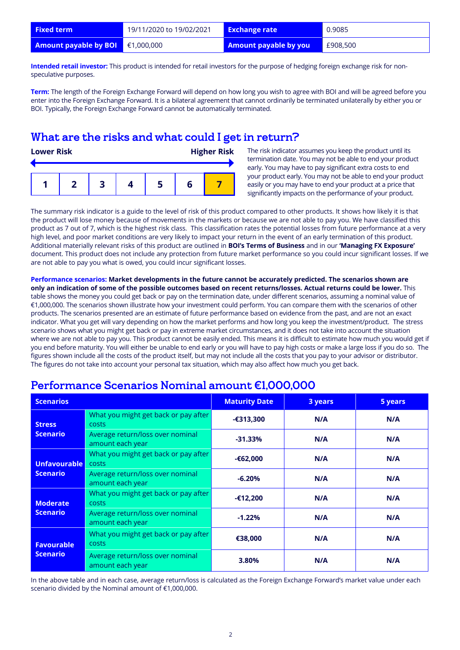| <b>Fixed term</b>                            | 19/11/2020 to 19/02/2021 | <b>Exchange rate</b>         | 0.9085   |
|----------------------------------------------|--------------------------|------------------------------|----------|
| <b>Amount payable by BOI</b> $\in$ 1,000,000 |                          | <b>Amount payable by you</b> | £908,500 |

**Intended retail investor:** This product is intended for retail investors for the purpose of hedging foreign exchange risk for nonspeculative purposes.

**Term:** The length of the Foreign Exchange Forward will depend on how long you wish to agree with BOI and will be agreed before you enter into the Foreign Exchange Forward. It is a bilateral agreement that cannot ordinarily be terminated unilaterally by either you or BOI. Typically, the Foreign Exchange Forward cannot be automatically terminated.

#### What are the risks and what could I get in return?

| <b>Lower Risk</b> |  |  |  | <b>Higher Risk</b> |  |
|-------------------|--|--|--|--------------------|--|
|                   |  |  |  |                    |  |

The risk indicator assumes you keep the product until its termination date. You may not be able to end your product early. You may have to pay significant extra costs to end your product early. You may not be able to end your product easily or you may have to end your product at a price that significantly impacts on the performance of your product.

The summary risk indicator is a guide to the level of risk of this product compared to other products. It shows how likely it is that the product will lose money because of movements in the markets or because we are not able to pay you. We have classified this product as 7 out of 7, which is the highest risk class. This classification rates the potential losses from future performance at a very high level, and poor market conditions are very likely to impact your return in the event of an early termination of this product. Additional materially relevant risks of this product are outlined in **BOI's Terms of Business** and in our **'Managing FX Exposure'**  document. This product does not include any protection from future market performance so you could incur significant losses. If we are not able to pay you what is owed, you could incur significant losses.

**Performance scenarios: Market developments in the future cannot be accurately predicted. The scenarios shown are only an indication of some of the possible outcomes based on recent returns/losses. Actual returns could be lower.** This table shows the money you could get back or pay on the termination date, under different scenarios, assuming a nominal value of €1,000,000. The scenarios shown illustrate how your investment could perform. You can compare them with the scenarios of other products. The scenarios presented are an estimate of future performance based on evidence from the past, and are not an exact indicator. What you get will vary depending on how the market performs and how long you keep the investment/product. The stress scenario shows what you might get back or pay in extreme market circumstances, and it does not take into account the situation where we are not able to pay you. This product cannot be easily ended. This means it is difficult to estimate how much you would get if you end before maturity. You will either be unable to end early or you will have to pay high costs or make a large loss if you do so. The figures shown include all the costs of the product itself, but may not include all the costs that you pay to your advisor or distributor. The figures do not take into account your personal tax situation, which may also affect how much you get back.

| <b>Scenarios</b>                     |                                                      | <b>Maturity Date</b> | 3 years | 5 years |
|--------------------------------------|------------------------------------------------------|----------------------|---------|---------|
| <b>Stress</b>                        | What you might get back or pay after<br><b>costs</b> | $-6313,300$          | N/A     | N/A     |
| <b>Scenario</b>                      | Average return/loss over nominal<br>amount each year | $-31.33%$            | N/A     | N/A     |
| Unfavourable<br><b>Scenario</b>      | What you might get back or pay after<br>costs        | $-62,000$            | N/A     | N/A     |
|                                      | Average return/loss over nominal<br>amount each year | $-6.20%$             | N/A     | N/A     |
| <b>Moderate</b><br><b>Scenario</b>   | What you might get back or pay after<br><b>COSTS</b> | $-£12,200$           | N/A     | N/A     |
|                                      | Average return/loss over nominal<br>amount each year | $-1.22%$             | N/A     | N/A     |
| <b>Favourable</b><br><b>Scenario</b> | What you might get back or pay after<br><b>COSTS</b> | €38,000              | N/A     | N/A     |
|                                      | Average return/loss over nominal<br>amount each year | 3.80%                | N/A     | N/A     |

#### Performance Scenarios Nominal amount €1,000,000

In the above table and in each case, average return/loss is calculated as the Foreign Exchange Forward's market value under each scenario divided by the Nominal amount of €1,000,000.